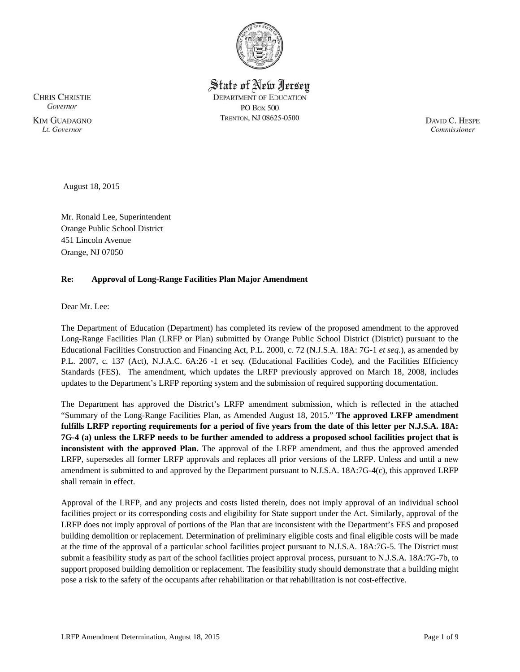

State of New Jersey **DEPARTMENT OF EDUCATION PO Box 500** TRENTON, NJ 08625-0500

**CHRIS CHRISTIE** Governor **KIM GUADAGNO** Lt. Governor

DAVID C. HESPE Commissioner

August 18, 2015

Mr. Ronald Lee, Superintendent Orange Public School District 451 Lincoln Avenue Orange, NJ 07050

## **Re: Approval of Long-Range Facilities Plan Major Amendment**

Dear Mr. Lee:

The Department of Education (Department) has completed its review of the proposed amendment to the approved Long-Range Facilities Plan (LRFP or Plan) submitted by Orange Public School District (District) pursuant to the Educational Facilities Construction and Financing Act, P.L. 2000, c. 72 (N.J.S.A. 18A: 7G-1 *et seq.*), as amended by P.L. 2007, c. 137 (Act), N.J.A.C. 6A:26 -1 *et seq.* (Educational Facilities Code), and the Facilities Efficiency Standards (FES). The amendment, which updates the LRFP previously approved on March 18, 2008, includes updates to the Department's LRFP reporting system and the submission of required supporting documentation.

The Department has approved the District's LRFP amendment submission, which is reflected in the attached "Summary of the Long-Range Facilities Plan, as Amended August 18, 2015." **The approved LRFP amendment fulfills LRFP reporting requirements for a period of five years from the date of this letter per N.J.S.A. 18A: 7G-4 (a) unless the LRFP needs to be further amended to address a proposed school facilities project that is inconsistent with the approved Plan.** The approval of the LRFP amendment, and thus the approved amended LRFP, supersedes all former LRFP approvals and replaces all prior versions of the LRFP. Unless and until a new amendment is submitted to and approved by the Department pursuant to N.J.S.A. 18A:7G-4(c), this approved LRFP shall remain in effect.

Approval of the LRFP, and any projects and costs listed therein, does not imply approval of an individual school facilities project or its corresponding costs and eligibility for State support under the Act. Similarly, approval of the LRFP does not imply approval of portions of the Plan that are inconsistent with the Department's FES and proposed building demolition or replacement. Determination of preliminary eligible costs and final eligible costs will be made at the time of the approval of a particular school facilities project pursuant to N.J.S.A. 18A:7G-5. The District must submit a feasibility study as part of the school facilities project approval process, pursuant to N.J.S.A. 18A:7G-7b, to support proposed building demolition or replacement. The feasibility study should demonstrate that a building might pose a risk to the safety of the occupants after rehabilitation or that rehabilitation is not cost-effective.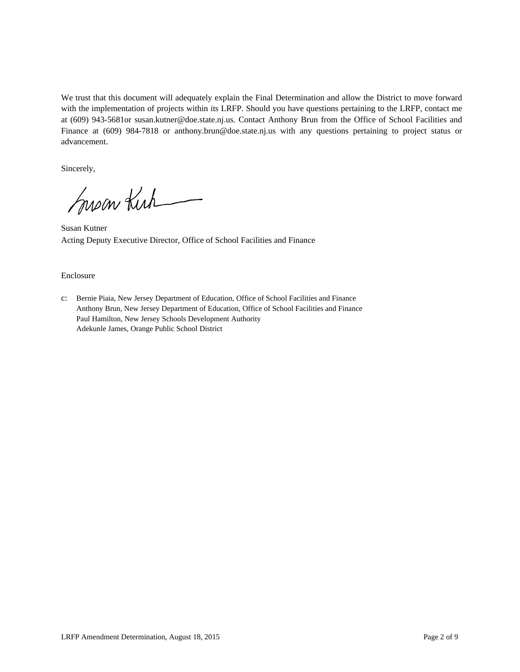We trust that this document will adequately explain the Final Determination and allow the District to move forward with the implementation of projects within its LRFP. Should you have questions pertaining to the LRFP, contact me at (609) 943-5681or susan.kutner@doe.state.nj.us. Contact Anthony Brun from the Office of School Facilities and Finance at (609) 984-7818 or anthony.brun@doe.state.nj.us with any questions pertaining to project status or advancement.

Sincerely,

Susan Kirk

Susan Kutner Acting Deputy Executive Director, Office of School Facilities and Finance

#### Enclosure

c: Bernie Piaia, New Jersey Department of Education, Office of School Facilities and Finance Anthony Brun, New Jersey Department of Education, Office of School Facilities and Finance Paul Hamilton, New Jersey Schools Development Authority Adekunle James, Orange Public School District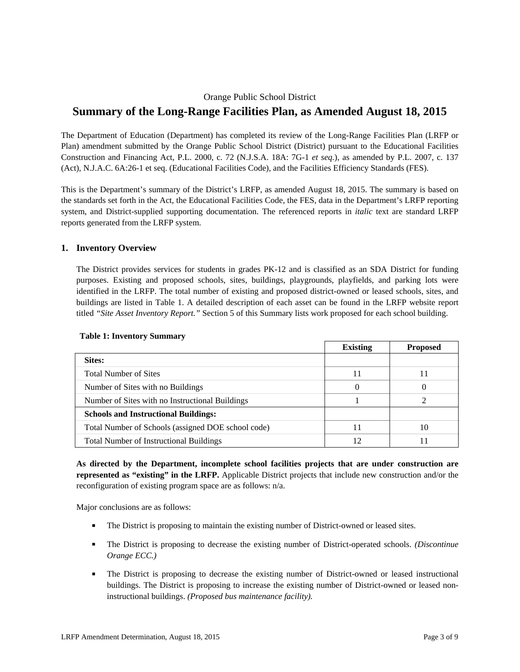# Orange Public School District **Summary of the Long-Range Facilities Plan, as Amended August 18, 2015**

The Department of Education (Department) has completed its review of the Long-Range Facilities Plan (LRFP or Plan) amendment submitted by the Orange Public School District (District) pursuant to the Educational Facilities Construction and Financing Act, P.L. 2000, c. 72 (N.J.S.A. 18A: 7G-1 *et seq.*), as amended by P.L. 2007, c. 137 (Act), N.J.A.C. 6A:26-1 et seq. (Educational Facilities Code), and the Facilities Efficiency Standards (FES).

This is the Department's summary of the District's LRFP, as amended August 18, 2015. The summary is based on the standards set forth in the Act, the Educational Facilities Code, the FES, data in the Department's LRFP reporting system, and District-supplied supporting documentation. The referenced reports in *italic* text are standard LRFP reports generated from the LRFP system.

## **1. Inventory Overview**

The District provides services for students in grades PK-12 and is classified as an SDA District for funding purposes. Existing and proposed schools, sites, buildings, playgrounds, playfields, and parking lots were identified in the LRFP. The total number of existing and proposed district-owned or leased schools, sites, and buildings are listed in Table 1. A detailed description of each asset can be found in the LRFP website report titled *"Site Asset Inventory Report."* Section 5 of this Summary lists work proposed for each school building.

|                                                    | <b>Existing</b> | <b>Proposed</b> |
|----------------------------------------------------|-----------------|-----------------|
| Sites:                                             |                 |                 |
| <b>Total Number of Sites</b>                       |                 |                 |
| Number of Sites with no Buildings                  |                 | 0               |
| Number of Sites with no Instructional Buildings    |                 |                 |
| <b>Schools and Instructional Buildings:</b>        |                 |                 |
| Total Number of Schools (assigned DOE school code) |                 | 10              |
| <b>Total Number of Instructional Buildings</b>     |                 |                 |

### **Table 1: Inventory Summary**

**As directed by the Department, incomplete school facilities projects that are under construction are represented as "existing" in the LRFP.** Applicable District projects that include new construction and/or the reconfiguration of existing program space are as follows: n/a.

Major conclusions are as follows:

- The District is proposing to maintain the existing number of District-owned or leased sites.
- The District is proposing to decrease the existing number of District-operated schools. *(Discontinue Orange ECC.)*
- The District is proposing to decrease the existing number of District-owned or leased instructional buildings. The District is proposing to increase the existing number of District-owned or leased noninstructional buildings. *(Proposed bus maintenance facility).*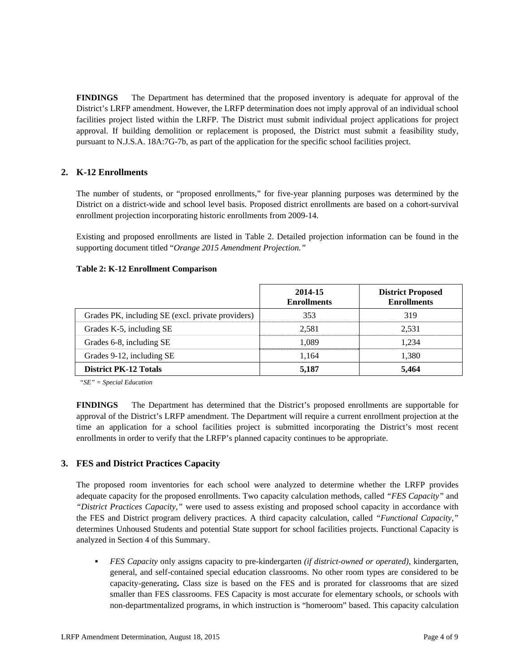**FINDINGS** The Department has determined that the proposed inventory is adequate for approval of the District's LRFP amendment. However, the LRFP determination does not imply approval of an individual school facilities project listed within the LRFP. The District must submit individual project applications for project approval. If building demolition or replacement is proposed, the District must submit a feasibility study, pursuant to N.J.S.A. 18A:7G-7b, as part of the application for the specific school facilities project.

# **2. K-12 Enrollments**

The number of students, or "proposed enrollments," for five-year planning purposes was determined by the District on a district-wide and school level basis. Proposed district enrollments are based on a cohort-survival enrollment projection incorporating historic enrollments from 2009-14.

Existing and proposed enrollments are listed in Table 2. Detailed projection information can be found in the supporting document titled "*Orange 2015 Amendment Projection."*

#### **Table 2: K-12 Enrollment Comparison**

|                                                   | 2014-15<br><b>Enrollments</b> | <b>District Proposed</b><br><b>Enrollments</b> |
|---------------------------------------------------|-------------------------------|------------------------------------------------|
| Grades PK, including SE (excl. private providers) | 353                           | 319                                            |
| Grades K-5, including SE                          | 2.581                         | 2.531                                          |
| Grades 6-8, including SE                          | 1,089                         | 1.234                                          |
| Grades 9-12, including SE                         | 1.164                         | 1,380                                          |
| <b>District PK-12 Totals</b>                      | 5,187                         | 5,464                                          |

*"SE" = Special Education* 

**FINDINGS** The Department has determined that the District's proposed enrollments are supportable for approval of the District's LRFP amendment. The Department will require a current enrollment projection at the time an application for a school facilities project is submitted incorporating the District's most recent enrollments in order to verify that the LRFP's planned capacity continues to be appropriate.

## **3. FES and District Practices Capacity**

The proposed room inventories for each school were analyzed to determine whether the LRFP provides adequate capacity for the proposed enrollments. Two capacity calculation methods, called *"FES Capacity"* and *"District Practices Capacity,"* were used to assess existing and proposed school capacity in accordance with the FES and District program delivery practices. A third capacity calculation, called *"Functional Capacity,"* determines Unhoused Students and potential State support for school facilities projects. Functional Capacity is analyzed in Section 4 of this Summary.

 *FES Capacity* only assigns capacity to pre-kindergarten *(if district-owned or operated),* kindergarten, general, and self-contained special education classrooms. No other room types are considered to be capacity-generating**.** Class size is based on the FES and is prorated for classrooms that are sized smaller than FES classrooms. FES Capacity is most accurate for elementary schools, or schools with non-departmentalized programs, in which instruction is "homeroom" based. This capacity calculation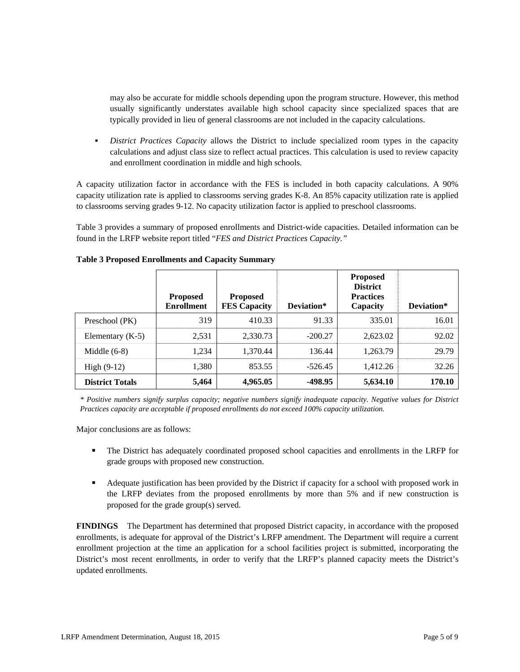may also be accurate for middle schools depending upon the program structure. However, this method usually significantly understates available high school capacity since specialized spaces that are typically provided in lieu of general classrooms are not included in the capacity calculations.

 *District Practices Capacity* allows the District to include specialized room types in the capacity calculations and adjust class size to reflect actual practices. This calculation is used to review capacity and enrollment coordination in middle and high schools.

A capacity utilization factor in accordance with the FES is included in both capacity calculations. A 90% capacity utilization rate is applied to classrooms serving grades K-8. An 85% capacity utilization rate is applied to classrooms serving grades 9-12. No capacity utilization factor is applied to preschool classrooms.

Table 3 provides a summary of proposed enrollments and District-wide capacities. Detailed information can be found in the LRFP website report titled "*FES and District Practices Capacity."*

|                        | <b>Proposed</b><br><b>Enrollment</b> | <b>Proposed</b><br><b>FES Capacity</b> | Deviation* | <b>Proposed</b><br><b>District</b><br><b>Practices</b><br>Capacity | Deviation* |
|------------------------|--------------------------------------|----------------------------------------|------------|--------------------------------------------------------------------|------------|
| Preschool (PK)         | 319                                  | 410.33                                 | 91.33      | 335.01                                                             | 16.01      |
| Elementary $(K-5)$     | 2,531                                | 2,330.73                               | $-200.27$  | 2,623.02                                                           | 92.02      |
| Middle $(6-8)$         | 1,234                                | 1,370.44                               | 136.44     | 1,263.79                                                           | 29.79      |
| High $(9-12)$          | 1,380                                | 853.55                                 | $-526.45$  | 1,412.26                                                           | 32.26      |
| <b>District Totals</b> | 5,464                                | 4,965.05                               | -498.95    | 5,634.10                                                           | 170.10     |

#### **Table 3 Proposed Enrollments and Capacity Summary**

*\* Positive numbers signify surplus capacity; negative numbers signify inadequate capacity. Negative values for District Practices capacity are acceptable if proposed enrollments do not exceed 100% capacity utilization.* 

Major conclusions are as follows:

- The District has adequately coordinated proposed school capacities and enrollments in the LRFP for grade groups with proposed new construction.
- Adequate justification has been provided by the District if capacity for a school with proposed work in the LRFP deviates from the proposed enrollments by more than 5% and if new construction is proposed for the grade group(s) served.

**FINDINGS** The Department has determined that proposed District capacity, in accordance with the proposed enrollments, is adequate for approval of the District's LRFP amendment. The Department will require a current enrollment projection at the time an application for a school facilities project is submitted, incorporating the District's most recent enrollments, in order to verify that the LRFP's planned capacity meets the District's updated enrollments.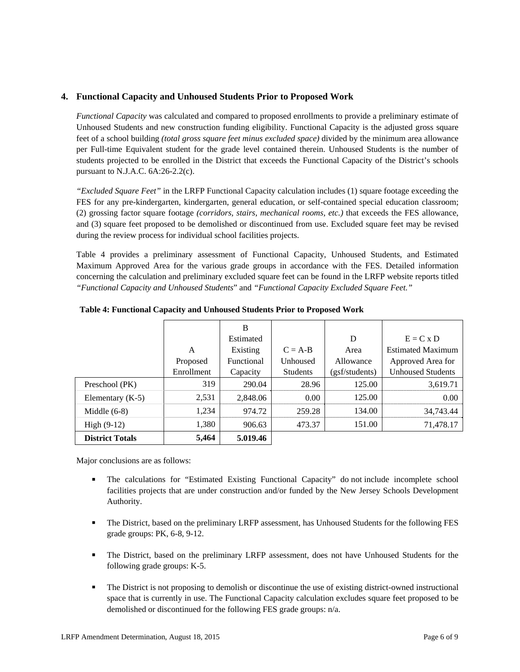# **4. Functional Capacity and Unhoused Students Prior to Proposed Work**

*Functional Capacity* was calculated and compared to proposed enrollments to provide a preliminary estimate of Unhoused Students and new construction funding eligibility. Functional Capacity is the adjusted gross square feet of a school building *(total gross square feet minus excluded space)* divided by the minimum area allowance per Full-time Equivalent student for the grade level contained therein. Unhoused Students is the number of students projected to be enrolled in the District that exceeds the Functional Capacity of the District's schools pursuant to N.J.A.C. 6A:26-2.2(c).

*"Excluded Square Feet"* in the LRFP Functional Capacity calculation includes (1) square footage exceeding the FES for any pre-kindergarten, kindergarten, general education, or self-contained special education classroom; (2) grossing factor square footage *(corridors, stairs, mechanical rooms, etc.)* that exceeds the FES allowance, and (3) square feet proposed to be demolished or discontinued from use. Excluded square feet may be revised during the review process for individual school facilities projects.

Table 4 provides a preliminary assessment of Functional Capacity, Unhoused Students, and Estimated Maximum Approved Area for the various grade groups in accordance with the FES. Detailed information concerning the calculation and preliminary excluded square feet can be found in the LRFP website reports titled *"Functional Capacity and Unhoused Students*" and *"Functional Capacity Excluded Square Feet."*

|                        |            | B          |                 |                |                          |
|------------------------|------------|------------|-----------------|----------------|--------------------------|
|                        |            | Estimated  |                 | D              | $E = C x D$              |
|                        | A          | Existing   | $C = A-B$       | Area           | <b>Estimated Maximum</b> |
|                        | Proposed   | Functional | Unhoused        | Allowance      | Approved Area for        |
|                        | Enrollment | Capacity   | <b>Students</b> | (gsf/students) | <b>Unhoused Students</b> |
| Preschool (PK)         | 319        | 290.04     | 28.96           | 125.00         | 3,619.71                 |
| Elementary $(K-5)$     | 2,531      | 2,848.06   | 0.00            | 125.00         | 0.00                     |
| Middle $(6-8)$         | 1,234      | 974.72     | 259.28          | 134.00         | 34,743.44                |
| High $(9-12)$          | 1,380      | 906.63     | 473.37          | 151.00         | 71,478.17                |
| <b>District Totals</b> | 5,464      | 5.019.46   |                 |                |                          |

**Table 4: Functional Capacity and Unhoused Students Prior to Proposed Work** 

Major conclusions are as follows:

- The calculations for "Estimated Existing Functional Capacity" do not include incomplete school facilities projects that are under construction and/or funded by the New Jersey Schools Development Authority.
- The District, based on the preliminary LRFP assessment, has Unhoused Students for the following FES grade groups: PK, 6-8, 9-12.
- The District, based on the preliminary LRFP assessment, does not have Unhoused Students for the following grade groups: K-5.
- The District is not proposing to demolish or discontinue the use of existing district-owned instructional space that is currently in use. The Functional Capacity calculation excludes square feet proposed to be demolished or discontinued for the following FES grade groups: n/a.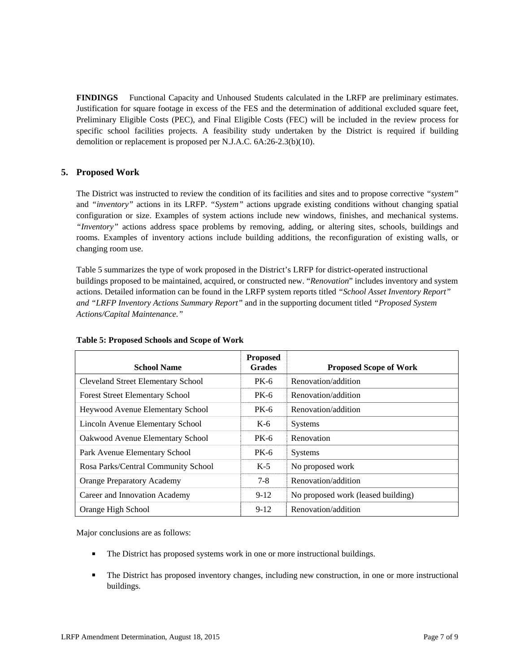**FINDINGS** Functional Capacity and Unhoused Students calculated in the LRFP are preliminary estimates. Justification for square footage in excess of the FES and the determination of additional excluded square feet, Preliminary Eligible Costs (PEC), and Final Eligible Costs (FEC) will be included in the review process for specific school facilities projects. A feasibility study undertaken by the District is required if building demolition or replacement is proposed per N.J.A.C. 6A:26-2.3(b)(10).

# **5. Proposed Work**

The District was instructed to review the condition of its facilities and sites and to propose corrective *"system"* and *"inventory"* actions in its LRFP. *"System"* actions upgrade existing conditions without changing spatial configuration or size. Examples of system actions include new windows, finishes, and mechanical systems. *"Inventory"* actions address space problems by removing, adding, or altering sites, schools, buildings and rooms. Examples of inventory actions include building additions, the reconfiguration of existing walls, or changing room use.

Table 5 summarizes the type of work proposed in the District's LRFP for district-operated instructional buildings proposed to be maintained, acquired, or constructed new. "*Renovation*" includes inventory and system actions. Detailed information can be found in the LRFP system reports titled *"School Asset Inventory Report" and "LRFP Inventory Actions Summary Report"* and in the supporting document titled *"Proposed System Actions/Capital Maintenance."*

| <b>School Name</b>                        | <b>Proposed</b><br><b>Grades</b> | <b>Proposed Scope of Work</b>      |
|-------------------------------------------|----------------------------------|------------------------------------|
| <b>Cleveland Street Elementary School</b> | PK-6                             | Renovation/addition                |
| <b>Forest Street Elementary School</b>    | PK-6                             | Renovation/addition                |
| <b>Heywood Avenue Elementary School</b>   | PK-6                             | Renovation/addition                |
| Lincoln Avenue Elementary School          | K-6                              | <b>Systems</b>                     |
| Oakwood Avenue Elementary School          | PK-6                             | Renovation                         |
| Park Avenue Elementary School             | $PK-6$                           | <b>Systems</b>                     |
| Rosa Parks/Central Community School       | $K-5$                            | No proposed work                   |
| <b>Orange Preparatory Academy</b>         | $7 - 8$                          | Renovation/addition                |
| Career and Innovation Academy             | $9-12$                           | No proposed work (leased building) |
| Orange High School                        | $9-12$                           | Renovation/addition                |

#### **Table 5: Proposed Schools and Scope of Work**

Major conclusions are as follows:

- The District has proposed systems work in one or more instructional buildings.
- The District has proposed inventory changes, including new construction, in one or more instructional buildings.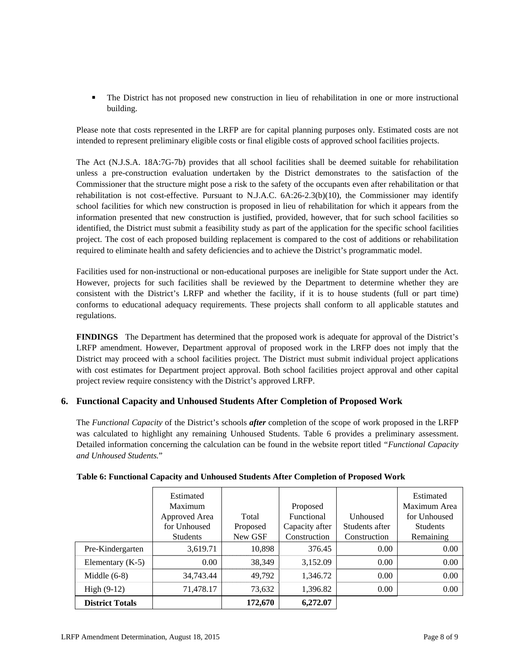The District has not proposed new construction in lieu of rehabilitation in one or more instructional building.

Please note that costs represented in the LRFP are for capital planning purposes only. Estimated costs are not intended to represent preliminary eligible costs or final eligible costs of approved school facilities projects.

The Act (N.J.S.A. 18A:7G-7b) provides that all school facilities shall be deemed suitable for rehabilitation unless a pre-construction evaluation undertaken by the District demonstrates to the satisfaction of the Commissioner that the structure might pose a risk to the safety of the occupants even after rehabilitation or that rehabilitation is not cost-effective. Pursuant to N.J.A.C. 6A:26-2.3(b)(10), the Commissioner may identify school facilities for which new construction is proposed in lieu of rehabilitation for which it appears from the information presented that new construction is justified, provided, however, that for such school facilities so identified, the District must submit a feasibility study as part of the application for the specific school facilities project. The cost of each proposed building replacement is compared to the cost of additions or rehabilitation required to eliminate health and safety deficiencies and to achieve the District's programmatic model.

Facilities used for non-instructional or non-educational purposes are ineligible for State support under the Act. However, projects for such facilities shall be reviewed by the Department to determine whether they are consistent with the District's LRFP and whether the facility, if it is to house students (full or part time) conforms to educational adequacy requirements. These projects shall conform to all applicable statutes and regulations.

**FINDINGS** The Department has determined that the proposed work is adequate for approval of the District's LRFP amendment. However, Department approval of proposed work in the LRFP does not imply that the District may proceed with a school facilities project. The District must submit individual project applications with cost estimates for Department project approval. Both school facilities project approval and other capital project review require consistency with the District's approved LRFP.

# **6. Functional Capacity and Unhoused Students After Completion of Proposed Work**

The *Functional Capacity* of the District's schools *after* completion of the scope of work proposed in the LRFP was calculated to highlight any remaining Unhoused Students. Table 6 provides a preliminary assessment. Detailed information concerning the calculation can be found in the website report titled *"Functional Capacity and Unhoused Students.*"

|                        | Estimated       |          |                |                | Estimated       |
|------------------------|-----------------|----------|----------------|----------------|-----------------|
|                        | Maximum         |          | Proposed       |                | Maximum Area    |
|                        | Approved Area   | Total    | Functional     | Unhoused       | for Unhoused    |
|                        | for Unhoused    | Proposed | Capacity after | Students after | <b>Students</b> |
|                        | <b>Students</b> | New GSF  | Construction   | Construction   | Remaining       |
| Pre-Kindergarten       | 3,619.71        | 10,898   | 376.45         | 0.00           | 0.00            |
| Elementary $(K-5)$     | 0.00            | 38,349   | 3,152.09       | 0.00           | 0.00            |
| Middle $(6-8)$         | 34,743.44       | 49,792   | 1,346.72       | 0.00           | 0.00            |
| High $(9-12)$          | 71,478.17       | 73,632   | 1,396.82       | 0.00           | 0.00            |
| <b>District Totals</b> |                 | 172,670  | 6,272.07       |                |                 |

## **Table 6: Functional Capacity and Unhoused Students After Completion of Proposed Work**